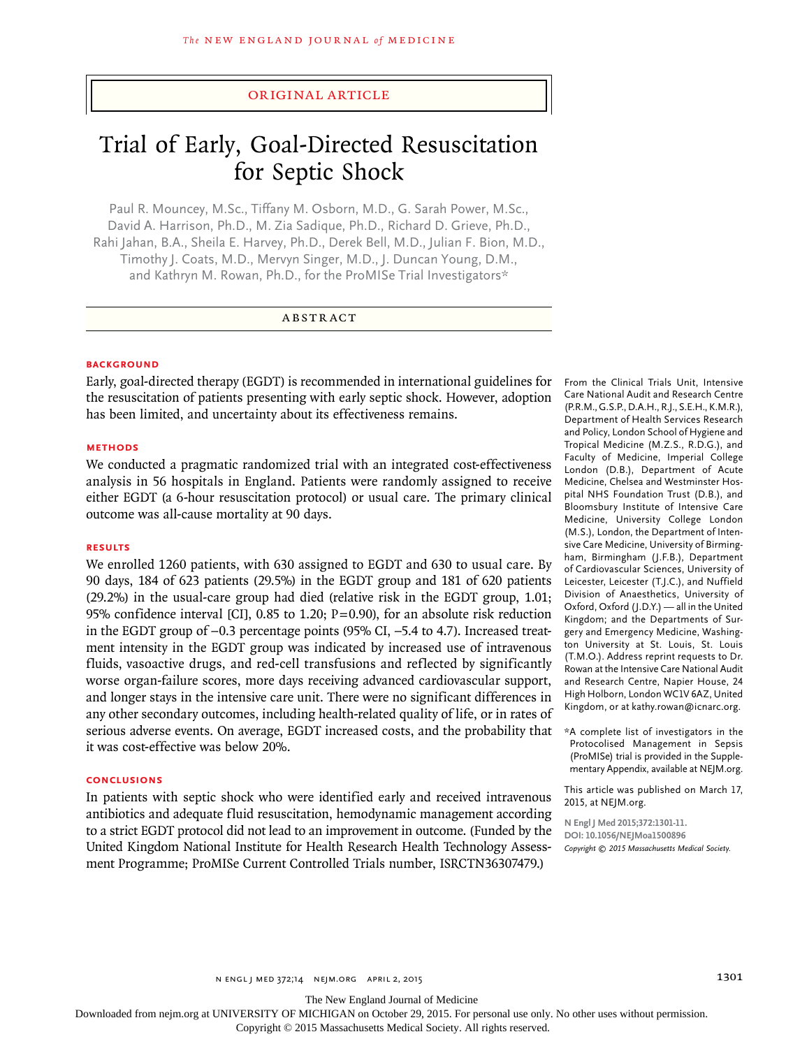# original article

# Trial of Early, Goal-Directed Resuscitation for Septic Shock

Paul R. Mouncey, M.Sc., Tiffany M. Osborn, M.D., G. Sarah Power, M.Sc., David A. Harrison, Ph.D., M. Zia Sadique, Ph.D., Richard D. Grieve, Ph.D., Rahi Jahan, B.A., Sheila E. Harvey, Ph.D., Derek Bell, M.D., Julian F. Bion, M.D., Timothy J. Coats, M.D., Mervyn Singer, M.D., J. Duncan Young, D.M., and Kathryn M. Rowan, Ph.D., for the ProMISe Trial Investigators\*

# ABSTRACT

## **BACKGROUND**

Early, goal-directed therapy (EGDT) is recommended in international guidelines for the resuscitation of patients presenting with early septic shock. However, adoption has been limited, and uncertainty about its effectiveness remains.

#### **Methods**

We conducted a pragmatic randomized trial with an integrated cost-effectiveness analysis in 56 hospitals in England. Patients were randomly assigned to receive either EGDT (a 6-hour resuscitation protocol) or usual care. The primary clinical outcome was all-cause mortality at 90 days.

## **Results**

We enrolled 1260 patients, with 630 assigned to EGDT and 630 to usual care. By 90 days, 184 of 623 patients (29.5%) in the EGDT group and 181 of 620 patients (29.2%) in the usual-care group had died (relative risk in the EGDT group, 1.01; 95% confidence interval [CI], 0.85 to 1.20;  $P=0.90$ ), for an absolute risk reduction in the EGDT group of −0.3 percentage points (95% CI, −5.4 to 4.7). Increased treatment intensity in the EGDT group was indicated by increased use of intravenous fluids, vasoactive drugs, and red-cell transfusions and reflected by significantly worse organ-failure scores, more days receiving advanced cardiovascular support, and longer stays in the intensive care unit. There were no significant differences in any other secondary outcomes, including health-related quality of life, or in rates of serious adverse events. On average, EGDT increased costs, and the probability that it was cost-effective was below 20%.

## **Conclusions**

In patients with septic shock who were identified early and received intravenous antibiotics and adequate fluid resuscitation, hemodynamic management according to a strict EGDT protocol did not lead to an improvement in outcome. (Funded by the United Kingdom National Institute for Health Research Health Technology Assessment Programme; ProMISe Current Controlled Trials number, ISRCTN36307479.)

From the Clinical Trials Unit, Intensive Care National Audit and Research Centre (P.R.M., G.S.P., D.A.H., R.J., S.E.H., K.M.R.), Department of Health Services Research and Policy, London School of Hygiene and Tropical Medicine (M.Z.S., R.D.G.), and Faculty of Medicine, Imperial College London (D.B.), Department of Acute Medicine, Chelsea and Westminster Hospital NHS Foundation Trust (D.B.), and Bloomsbury Institute of Intensive Care Medicine, University College London (M.S.), London, the Department of Intensive Care Medicine, University of Birmingham, Birmingham (J.F.B.), Department of Cardiovascular Sciences, University of Leicester, Leicester (T.J.C.), and Nuffield Division of Anaesthetics, University of Oxford, Oxford (J.D.Y.) — all in the United Kingdom; and the Departments of Surgery and Emergency Medicine, Washington University at St. Louis, St. Louis (T.M.O.). Address reprint requests to Dr. Rowan at the Intensive Care National Audit and Research Centre, Napier House, 24 High Holborn, London WC1V 6AZ, United Kingdom, or at kathy.rowan@icnarc.org.

\*A complete list of investigators in the Protocolised Management in Sepsis (ProMISe) trial is provided in the Supplementary Appendix, available at NEJM.org.

This article was published on March 17, 2015, at NEJM.org.

**N Engl J Med 2015;372:1301-11. DOI: 10.1056/NEJMoa1500896** *Copyright © 2015 Massachusetts Medical Society.*

The New England Journal of Medicine

Downloaded from nejm.org at UNIVERSITY OF MICHIGAN on October 29, 2015. For personal use only. No other uses without permission.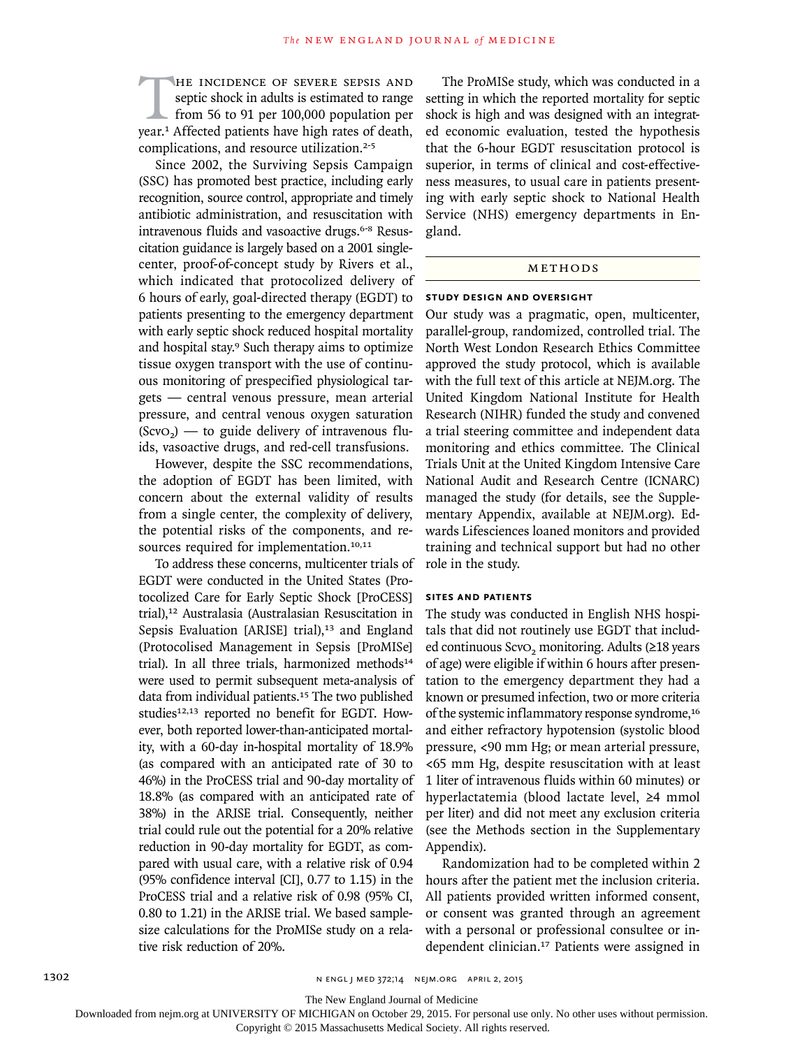THE INCIDENCE OF SEVERE SEPSIS AND septic shock in adults is estimated to range from 56 to 91 per 100,000 population per year.<sup>1</sup> Affected patients have high rates of death, septic shock in adults is estimated to range from 56 to 91 per 100,000 population per complications, and resource utilization.<sup>2-5</sup>

Since 2002, the Surviving Sepsis Campaign (SSC) has promoted best practice, including early recognition, source control, appropriate and timely antibiotic administration, and resuscitation with intravenous fluids and vasoactive drugs.<sup>6-8</sup> Resuscitation guidance is largely based on a 2001 singlecenter, proof-of-concept study by Rivers et al., which indicated that protocolized delivery of 6 hours of early, goal-directed therapy (EGDT) to patients presenting to the emergency department with early septic shock reduced hospital mortality and hospital stay.<sup>9</sup> Such therapy aims to optimize tissue oxygen transport with the use of continuous monitoring of prespecified physiological targets — central venous pressure, mean arterial pressure, and central venous oxygen saturation  $(Scvo<sub>2</sub>)$  — to guide delivery of intravenous fluids, vasoactive drugs, and red-cell transfusions.

However, despite the SSC recommendations, the adoption of EGDT has been limited, with concern about the external validity of results from a single center, the complexity of delivery, the potential risks of the components, and resources required for implementation.<sup>10,11</sup>

To address these concerns, multicenter trials of EGDT were conducted in the United States (Protocolized Care for Early Septic Shock [ProCESS] trial),12 Australasia (Australasian Resuscitation in Sepsis Evaluation [ARISE] trial),<sup>13</sup> and England (Protocolised Management in Sepsis [ProMISe] trial). In all three trials, harmonized methods<sup>14</sup> were used to permit subsequent meta-analysis of data from individual patients.<sup>15</sup> The two published studies<sup>12,13</sup> reported no benefit for EGDT. However, both reported lower-than-anticipated mortality, with a 60-day in-hospital mortality of 18.9% (as compared with an anticipated rate of 30 to 46%) in the ProCESS trial and 90-day mortality of 18.8% (as compared with an anticipated rate of 38%) in the ARISE trial. Consequently, neither trial could rule out the potential for a 20% relative reduction in 90-day mortality for EGDT, as compared with usual care, with a relative risk of 0.94 (95% confidence interval [CI], 0.77 to 1.15) in the ProCESS trial and a relative risk of 0.98 (95% CI, 0.80 to 1.21) in the ARISE trial. We based samplesize calculations for the ProMISe study on a relative risk reduction of 20%.

The ProMISe study, which was conducted in a setting in which the reported mortality for septic shock is high and was designed with an integrated economic evaluation, tested the hypothesis that the 6-hour EGDT resuscitation protocol is superior, in terms of clinical and cost-effectiveness measures, to usual care in patients presenting with early septic shock to National Health Service (NHS) emergency departments in England.

# **METHODS**

#### **Study Design and Oversight**

Our study was a pragmatic, open, multicenter, parallel-group, randomized, controlled trial. The North West London Research Ethics Committee approved the study protocol, which is available with the full text of this article at NEJM.org. The United Kingdom National Institute for Health Research (NIHR) funded the study and convened a trial steering committee and independent data monitoring and ethics committee. The Clinical Trials Unit at the United Kingdom Intensive Care National Audit and Research Centre (ICNARC) managed the study (for details, see the Supplementary Appendix, available at NEJM.org). Edwards Lifesciences loaned monitors and provided training and technical support but had no other role in the study.

# **Sites and Patients**

The study was conducted in English NHS hospitals that did not routinely use EGDT that included continuous ScvO<sub>2</sub> monitoring. Adults (≥18 years of age) were eligible if within 6 hours after presentation to the emergency department they had a known or presumed infection, two or more criteria of the systemic inflammatory response syndrome,<sup>16</sup> and either refractory hypotension (systolic blood pressure, <90 mm Hg; or mean arterial pressure, <65 mm Hg, despite resuscitation with at least 1 liter of intravenous fluids within 60 minutes) or hyperlactatemia (blood lactate level, ≥4 mmol per liter) and did not meet any exclusion criteria (see the Methods section in the Supplementary Appendix).

Randomization had to be completed within 2 hours after the patient met the inclusion criteria. All patients provided written informed consent, or consent was granted through an agreement with a personal or professional consultee or independent clinician.17 Patients were assigned in

The New England Journal of Medicine

Downloaded from nejm.org at UNIVERSITY OF MICHIGAN on October 29, 2015. For personal use only. No other uses without permission.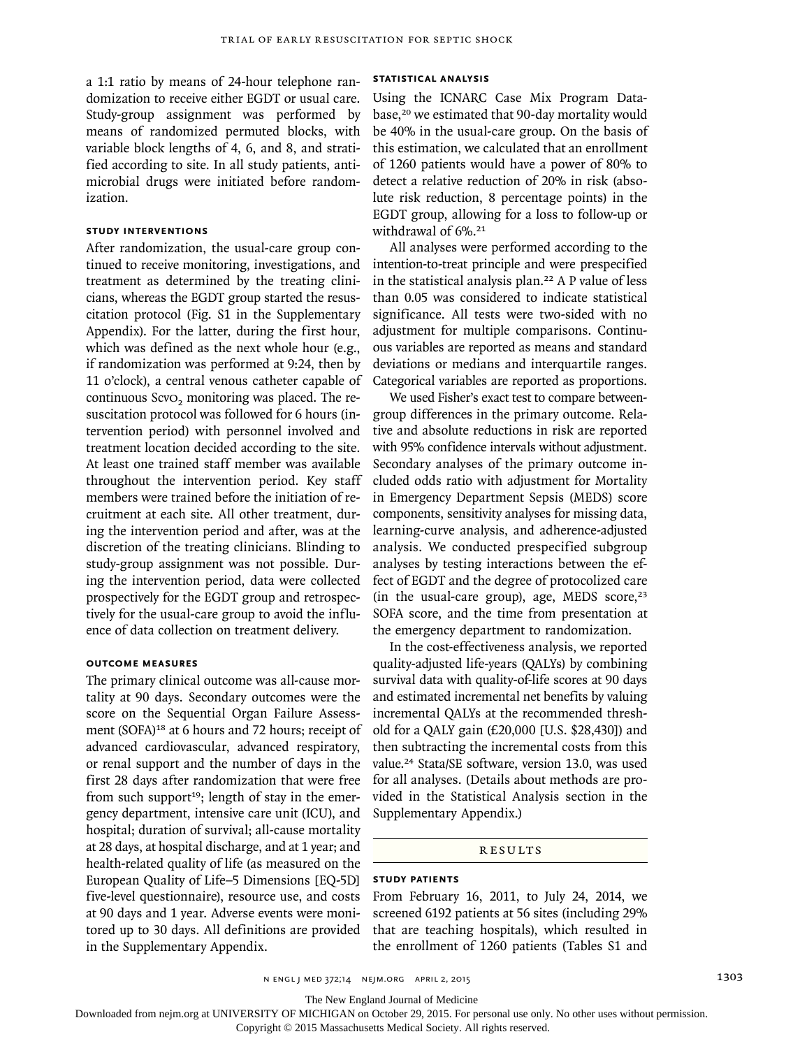a 1:1 ratio by means of 24-hour telephone randomization to receive either EGDT or usual care. Study-group assignment was performed by means of randomized permuted blocks, with variable block lengths of 4, 6, and 8, and stratified according to site. In all study patients, antimicrobial drugs were initiated before randomization.

# **Study Interventions**

After randomization, the usual-care group continued to receive monitoring, investigations, and treatment as determined by the treating clinicians, whereas the EGDT group started the resuscitation protocol (Fig. S1 in the Supplementary Appendix). For the latter, during the first hour, which was defined as the next whole hour (e.g., if randomization was performed at 9:24, then by 11 o'clock), a central venous catheter capable of continuous ScvO<sub>2</sub> monitoring was placed. The resuscitation protocol was followed for 6 hours (intervention period) with personnel involved and treatment location decided according to the site. At least one trained staff member was available throughout the intervention period. Key staff members were trained before the initiation of recruitment at each site. All other treatment, during the intervention period and after, was at the discretion of the treating clinicians. Blinding to study-group assignment was not possible. During the intervention period, data were collected prospectively for the EGDT group and retrospectively for the usual-care group to avoid the influence of data collection on treatment delivery.

#### **Outcome Measures**

The primary clinical outcome was all-cause mortality at 90 days. Secondary outcomes were the score on the Sequential Organ Failure Assessment (SOFA)<sup>18</sup> at 6 hours and 72 hours; receipt of advanced cardiovascular, advanced respiratory, or renal support and the number of days in the first 28 days after randomization that were free from such support<sup>19</sup>; length of stay in the emergency department, intensive care unit (ICU), and hospital; duration of survival; all-cause mortality at 28 days, at hospital discharge, and at 1 year; and health-related quality of life (as measured on the European Quality of Life–5 Dimensions [EQ-5D] five-level questionnaire), resource use, and costs at 90 days and 1 year. Adverse events were monitored up to 30 days. All definitions are provided in the Supplementary Appendix.

# **Statistical Analysis**

Using the ICNARC Case Mix Program Database,<sup>20</sup> we estimated that 90-day mortality would be 40% in the usual-care group. On the basis of this estimation, we calculated that an enrollment of 1260 patients would have a power of 80% to detect a relative reduction of 20% in risk (absolute risk reduction, 8 percentage points) in the EGDT group, allowing for a loss to follow-up or withdrawal of 6%.<sup>21</sup>

All analyses were performed according to the intention-to-treat principle and were prespecified in the statistical analysis plan.22 A P value of less than 0.05 was considered to indicate statistical significance. All tests were two-sided with no adjustment for multiple comparisons. Continuous variables are reported as means and standard deviations or medians and interquartile ranges. Categorical variables are reported as proportions.

We used Fisher's exact test to compare betweengroup differences in the primary outcome. Relative and absolute reductions in risk are reported with 95% confidence intervals without adjustment. Secondary analyses of the primary outcome included odds ratio with adjustment for Mortality in Emergency Department Sepsis (MEDS) score components, sensitivity analyses for missing data, learning-curve analysis, and adherence-adjusted analysis. We conducted prespecified subgroup analyses by testing interactions between the effect of EGDT and the degree of protocolized care (in the usual-care group), age, MEDS score, $23$ SOFA score, and the time from presentation at the emergency department to randomization.

In the cost-effectiveness analysis, we reported quality-adjusted life-years (QALYs) by combining survival data with quality-of-life scores at 90 days and estimated incremental net benefits by valuing incremental QALYs at the recommended threshold for a QALY gain (£20,000 [U.S. \$28,430]) and then subtracting the incremental costs from this value.24 Stata/SE software, version 13.0, was used for all analyses. (Details about methods are provided in the Statistical Analysis section in the Supplementary Appendix.)

#### Results

# **Study Patients**

From February 16, 2011, to July 24, 2014, we screened 6192 patients at 56 sites (including 29% that are teaching hospitals), which resulted in the enrollment of 1260 patients (Tables S1 and

The New England Journal of Medicine

Downloaded from nejm.org at UNIVERSITY OF MICHIGAN on October 29, 2015. For personal use only. No other uses without permission.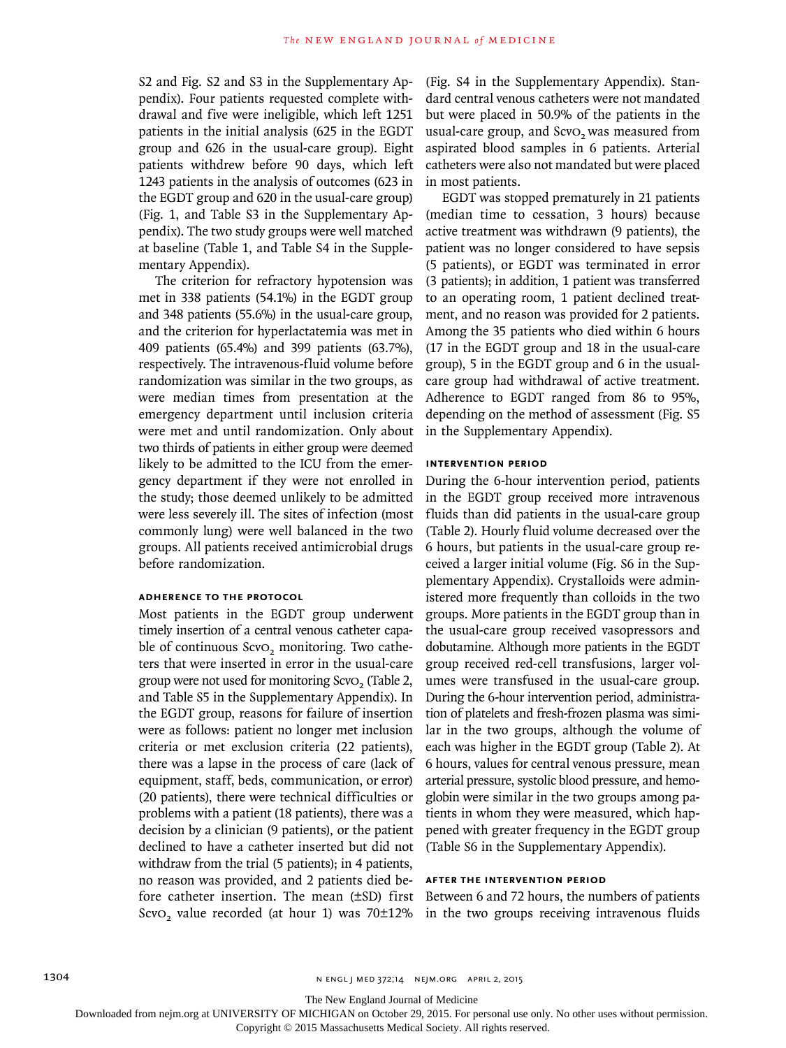S2 and Fig. S2 and S3 in the Supplementary Appendix). Four patients requested complete withdrawal and five were ineligible, which left 1251 patients in the initial analysis (625 in the EGDT group and 626 in the usual-care group). Eight patients withdrew before 90 days, which left 1243 patients in the analysis of outcomes (623 in the EGDT group and 620 in the usual-care group) (Fig. 1, and Table S3 in the Supplementary Appendix). The two study groups were well matched at baseline (Table 1, and Table S4 in the Supplementary Appendix).

The criterion for refractory hypotension was met in 338 patients (54.1%) in the EGDT group and 348 patients (55.6%) in the usual-care group, and the criterion for hyperlactatemia was met in 409 patients (65.4%) and 399 patients (63.7%), respectively. The intravenous-fluid volume before randomization was similar in the two groups, as were median times from presentation at the emergency department until inclusion criteria were met and until randomization. Only about two thirds of patients in either group were deemed likely to be admitted to the ICU from the emergency department if they were not enrolled in the study; those deemed unlikely to be admitted were less severely ill. The sites of infection (most commonly lung) were well balanced in the two groups. All patients received antimicrobial drugs before randomization.

# **Adherence to the Protocol**

Most patients in the EGDT group underwent timely insertion of a central venous catheter capable of continuous ScvO<sub>2</sub> monitoring. Two catheters that were inserted in error in the usual-care group were not used for monitoring ScvO<sub>2</sub> (Table 2, and Table S5 in the Supplementary Appendix). In the EGDT group, reasons for failure of insertion were as follows: patient no longer met inclusion criteria or met exclusion criteria (22 patients), there was a lapse in the process of care (lack of equipment, staff, beds, communication, or error) (20 patients), there were technical difficulties or problems with a patient (18 patients), there was a decision by a clinician (9 patients), or the patient declined to have a catheter inserted but did not withdraw from the trial (5 patients); in 4 patients, no reason was provided, and 2 patients died before catheter insertion. The mean (±SD) first Between 6 and 72 hours, the numbers of patients ScvO<sub>2</sub> value recorded (at hour 1) was 70 $\pm$ 12% in the two groups receiving intravenous fluids

(Fig. S4 in the Supplementary Appendix). Standard central venous catheters were not mandated but were placed in 50.9% of the patients in the usual-care group, and ScvO<sub>2</sub> was measured from aspirated blood samples in 6 patients. Arterial catheters were also not mandated but were placed in most patients.

EGDT was stopped prematurely in 21 patients (median time to cessation, 3 hours) because active treatment was withdrawn (9 patients), the patient was no longer considered to have sepsis (5 patients), or EGDT was terminated in error (3 patients); in addition, 1 patient was transferred to an operating room, 1 patient declined treatment, and no reason was provided for 2 patients. Among the 35 patients who died within 6 hours (17 in the EGDT group and 18 in the usual-care group), 5 in the EGDT group and 6 in the usualcare group had withdrawal of active treatment. Adherence to EGDT ranged from 86 to 95%, depending on the method of assessment (Fig. S5 in the Supplementary Appendix).

#### **Intervention Period**

During the 6-hour intervention period, patients in the EGDT group received more intravenous fluids than did patients in the usual-care group (Table 2). Hourly fluid volume decreased over the 6 hours, but patients in the usual-care group received a larger initial volume (Fig. S6 in the Supplementary Appendix). Crystalloids were administered more frequently than colloids in the two groups. More patients in the EGDT group than in the usual-care group received vasopressors and dobutamine. Although more patients in the EGDT group received red-cell transfusions, larger volumes were transfused in the usual-care group. During the 6-hour intervention period, administration of platelets and fresh-frozen plasma was similar in the two groups, although the volume of each was higher in the EGDT group (Table 2). At 6 hours, values for central venous pressure, mean arterial pressure, systolic blood pressure, and hemoglobin were similar in the two groups among patients in whom they were measured, which happened with greater frequency in the EGDT group (Table S6 in the Supplementary Appendix).

## **After the Intervention Period**

The New England Journal of Medicine

Downloaded from nejm.org at UNIVERSITY OF MICHIGAN on October 29, 2015. For personal use only. No other uses without permission.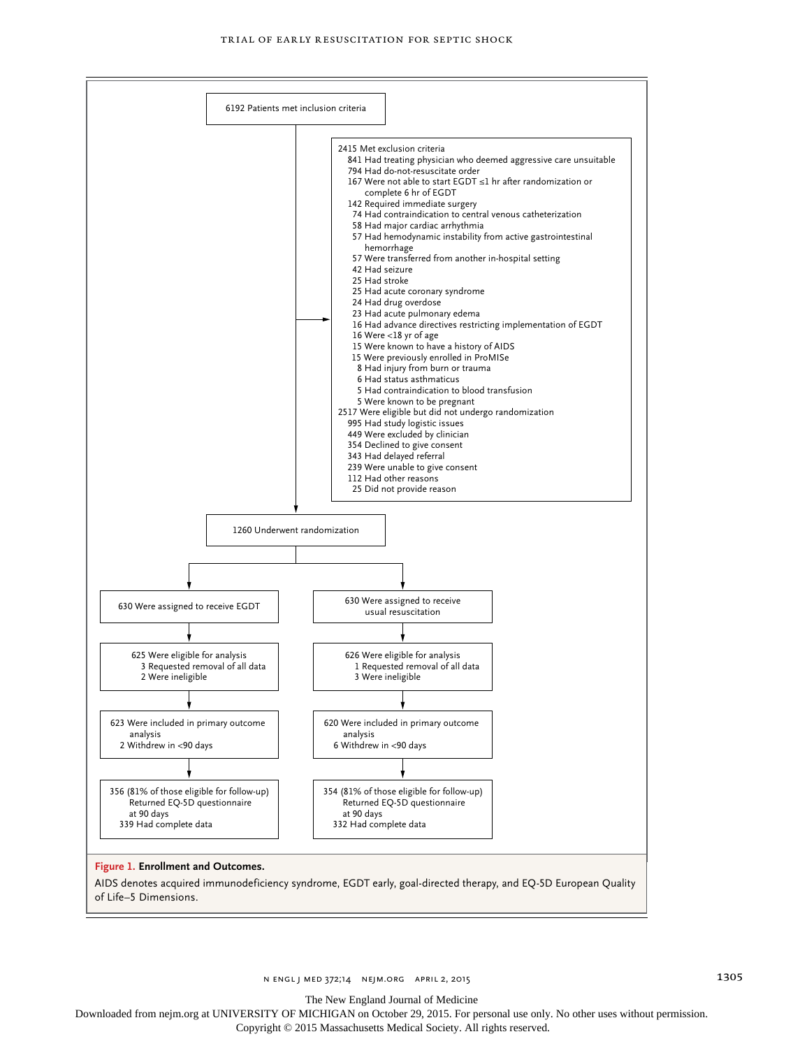

The New England Journal of Medicine

Downloaded from nejm.org at UNIVERSITY OF MICHIGAN on October 29, 2015. For personal use only. No other uses without permission.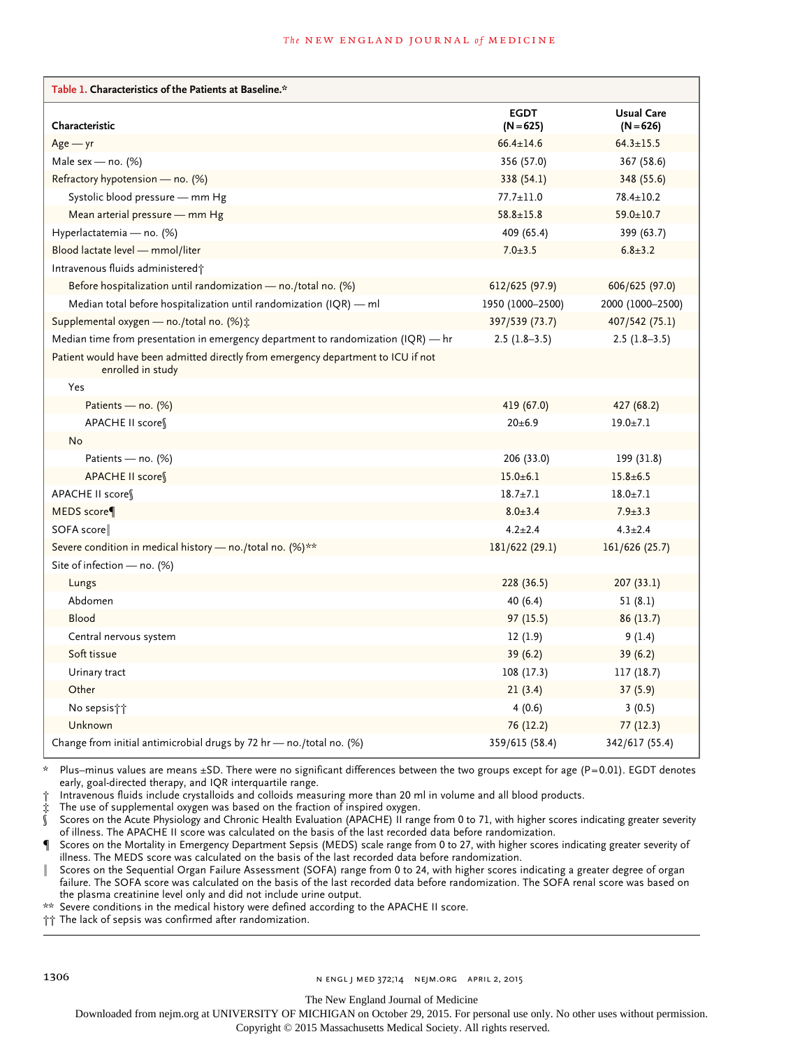#### **The NEW ENGLAND JOURNAL of MEDICINE**

| Table 1. Characteristics of the Patients at Baseline.*                                                 |                            |                                  |
|--------------------------------------------------------------------------------------------------------|----------------------------|----------------------------------|
| Characteristic                                                                                         | <b>EGDT</b><br>$(N = 625)$ | <b>Usual Care</b><br>$(N = 626)$ |
| $Age - yr$                                                                                             | $66.4 \pm 14.6$            | $64.3 \pm 15.5$                  |
| Male sex - no. $(%)$                                                                                   | 356 (57.0)                 | 367 (58.6)                       |
| Refractory hypotension - no. (%)                                                                       | 338 (54.1)                 | 348 (55.6)                       |
| Systolic blood pressure - mm Hg                                                                        | $77.7 \pm 11.0$            | $78.4 \pm 10.2$                  |
| Mean arterial pressure – mm Hg                                                                         | $58.8 \pm 15.8$            | $59.0 \pm 10.7$                  |
| Hyperlactatemia - no. (%)                                                                              | 409 (65.4)                 | 399 (63.7)                       |
| Blood lactate level - mmol/liter                                                                       | $7.0 \pm 3.5$              | $6.8 \pm 3.2$                    |
| Intravenous fluids administered;                                                                       |                            |                                  |
| Before hospitalization until randomization - no./total no. (%)                                         | 612/625 (97.9)             | 606/625 (97.0)                   |
| Median total before hospitalization until randomization (IQR) - ml                                     | 1950 (1000-2500)           | 2000 (1000-2500)                 |
| Supplemental oxygen - no./total no. (%) :                                                              | 397/539 (73.7)             | 407/542 (75.1)                   |
| Median time from presentation in emergency department to randomization $IQR$ ) — hr                    | $2.5(1.8-3.5)$             | $2.5(1.8-3.5)$                   |
| Patient would have been admitted directly from emergency department to ICU if not<br>enrolled in study |                            |                                  |
| Yes                                                                                                    |                            |                                  |
| Patients — no. (%)                                                                                     | 419 (67.0)                 | 427 (68.2)                       |
| APACHE II score¶                                                                                       | $20+6.9$                   | $19.0 + 7.1$                     |
| No                                                                                                     |                            |                                  |
| Patients — no. $(\%)$                                                                                  | 206 (33.0)                 | 199 (31.8)                       |
| APACHE II score                                                                                        | $15.0 \pm 6.1$             | $15.8 \pm 6.5$                   |
| APACHE II score                                                                                        | $18.7 + 7.1$               | $18.0 \pm 7.1$                   |
| MEDS score                                                                                             | $8.0 \pm 3.4$              | $7.9 \pm 3.3$                    |
| SOFA score                                                                                             | $4.2 \pm 2.4$              | $4.3 \pm 2.4$                    |
| Severe condition in medical history — no./total no. (%)**                                              | 181/622 (29.1)             | 161/626 (25.7)                   |
| Site of infection $-$ no. (%)                                                                          |                            |                                  |
| Lungs                                                                                                  | 228 (36.5)                 | 207(33.1)                        |
| Abdomen                                                                                                | 40(6.4)                    | 51 (8.1)                         |
| Blood                                                                                                  | 97(15.5)                   | 86 (13.7)                        |
| Central nervous system                                                                                 | 12(1.9)                    | 9 (1.4)                          |
| Soft tissue                                                                                            | 39(6.2)                    | 39 (6.2)                         |
| Urinary tract                                                                                          | 108 (17.3)                 | 117 (18.7)                       |
| Other                                                                                                  | 21(3.4)                    | 37(5.9)                          |
| No sepsis††                                                                                            | 4(0.6)                     | 3(0.5)                           |
| Unknown                                                                                                | 76 (12.2)                  | 77(12.3)                         |
| Change from initial antimicrobial drugs by 72 hr - no./total no. (%)                                   | 359/615 (58.4)             | 342/617 (55.4)                   |

\* Plus–minus values are means ±SD. There were no significant differences between the two groups except for age (P=0.01). EGDT denotes early, goal-directed therapy, and IQR interquartile range.

† Intravenous fluids include crystalloids and colloids measuring more than 20 ml in volume and all blood products.

The use of supplemental oxygen was based on the fraction of inspired oxygen.

Scores on the Acute Physiology and Chronic Health Evaluation (APACHE) II range from 0 to 71, with higher scores indicating greater severity of illness. The APACHE II score was calculated on the basis of the last recorded data before randomization.

Scores on the Mortality in Emergency Department Sepsis (MEDS) scale range from 0 to 27, with higher scores indicating greater severity of illness. The MEDS score was calculated on the basis of the last recorded data before randomization.

Scores on the Sequential Organ Failure Assessment (SOFA) range from 0 to 24, with higher scores indicating a greater degree of organ failure. The SOFA score was calculated on the basis of the last recorded data before randomization. The SOFA renal score was based on

the plasma creatinine level only and did not include urine output.

\*\* Severe conditions in the medical history were defined according to the APACHE II score.

†† The lack of sepsis was confirmed after randomization.

1306 **n engl j med 372;14 n engl j med 372;14 n engl j med 372;14 n engl de 372;14 n engl de 372;14 n engl de 3** 

The New England Journal of Medicine

Downloaded from nejm.org at UNIVERSITY OF MICHIGAN on October 29, 2015. For personal use only. No other uses without permission.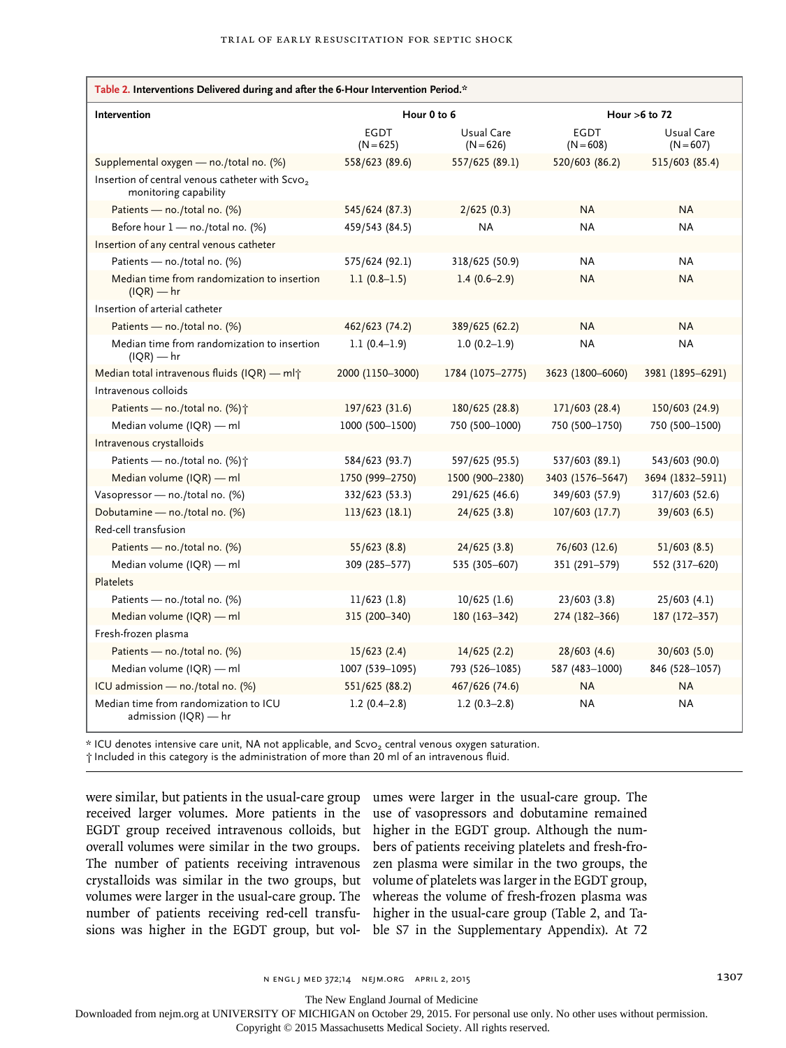| Table 2. Interventions Delivered during and after the 6-Hour Intervention Period.*   |                            |                           |                            |                           |
|--------------------------------------------------------------------------------------|----------------------------|---------------------------|----------------------------|---------------------------|
| Intervention                                                                         | Hour 0 to 6                |                           | Hour $>6$ to 72            |                           |
|                                                                                      | <b>EGDT</b><br>$(N = 625)$ | Usual Care<br>$(N = 626)$ | <b>EGDT</b><br>$(N = 608)$ | Usual Care<br>$(N = 607)$ |
| Supplemental oxygen - no./total no. (%)                                              | 558/623 (89.6)             | 557/625 (89.1)            | 520/603 (86.2)             | 515/603 (85.4)            |
| Insertion of central venous catheter with Scvo <sub>2</sub><br>monitoring capability |                            |                           |                            |                           |
| Patients - no./total no. (%)                                                         | 545/624 (87.3)             | 2/625(0.3)                | <b>NA</b>                  | <b>NA</b>                 |
| Before hour 1 - no./total no. (%)                                                    | 459/543 (84.5)             | <b>NA</b>                 | <b>NA</b>                  | <b>NA</b>                 |
| Insertion of any central venous catheter                                             |                            |                           |                            |                           |
| Patients - no./total no. (%)                                                         | 575/624 (92.1)             | 318/625 (50.9)            | <b>NA</b>                  | <b>NA</b>                 |
| Median time from randomization to insertion<br>$I(QR)$ — hr                          | $1.1(0.8-1.5)$             | $1.4(0.6-2.9)$            | <b>NA</b>                  | <b>NA</b>                 |
| Insertion of arterial catheter                                                       |                            |                           |                            |                           |
| Patients - no./total no. (%)                                                         | 462/623 (74.2)             | 389/625 (62.2)            | <b>NA</b>                  | <b>NA</b>                 |
| Median time from randomization to insertion<br>$IQR$ ) — hr                          | $1.1(0.4-1.9)$             | $1.0(0.2-1.9)$            | ΝA                         | <b>NA</b>                 |
| Median total intravenous fluids (IQR) — ml†                                          | 2000 (1150-3000)           | 1784 (1075-2775)          | 3623 (1800-6060)           | 3981 (1895-6291)          |
| Intravenous colloids                                                                 |                            |                           |                            |                           |
| Patients — no./total no. $(%)\uparrow$                                               | 197/623 (31.6)             | 180/625 (28.8)            | 171/603 (28.4)             | 150/603 (24.9)            |
| Median volume (IQR) — ml                                                             | 1000 (500-1500)            | 750 (500-1000)            | 750 (500-1750)             | 750 (500-1500)            |
| Intravenous crystalloids                                                             |                            |                           |                            |                           |
| Patients - no./total no. (%)+                                                        | 584/623 (93.7)             | 597/625 (95.5)            | 537/603 (89.1)             | 543/603 (90.0)            |
| Median volume (IQR) - ml                                                             | 1750 (999-2750)            | 1500 (900-2380)           | 3403 (1576-5647)           | 3694 (1832-5911)          |
| Vasopressor - no./total no. (%)                                                      | 332/623 (53.3)             | 291/625 (46.6)            | 349/603 (57.9)             | 317/603 (52.6)            |
| Dobutamine - no./total no. (%)                                                       | 113/623 (18.1)             | 24/625(3.8)               | 107/603 (17.7)             | 39/603 (6.5)              |
| Red-cell transfusion                                                                 |                            |                           |                            |                           |
| Patients - no./total no. (%)                                                         | 55/623(8.8)                | 24/625 (3.8)              | 76/603 (12.6)              | 51/603 (8.5)              |
| Median volume (IQR) — ml                                                             | 309 (285-577)              | 535 (305-607)             | 351 (291-579)              | 552 (317-620)             |
| <b>Platelets</b>                                                                     |                            |                           |                            |                           |
| Patients - no./total no. (%)                                                         | $11/623$ (1.8)             | $10/625$ (1.6)            | 23/603(3.8)                | 25/603(4.1)               |
| Median volume (IQR) - ml                                                             | 315 (200-340)              | 180 (163-342)             | 274 (182-366)              | 187 (172-357)             |
| Fresh-frozen plasma                                                                  |                            |                           |                            |                           |
| Patients - no./total no. (%)                                                         | 15/623(2.4)                | 14/625(2.2)               | 28/603(4.6)                | 30/603 (5.0)              |
| Median volume (IQR) - ml                                                             | 1007 (539-1095)            | 793 (526-1085)            | 587 (483-1000)             | 846 (528-1057)            |
| ICU admission - no./total no. (%)                                                    | 551/625 (88.2)             | 467/626 (74.6)            | <b>NA</b>                  | <b>NA</b>                 |
| Median time from randomization to ICU<br>admission $(IQR)$ — hr                      | $1.2(0.4-2.8)$             | $1.2(0.3-2.8)$            | <b>NA</b>                  | <b>NA</b>                 |

\* ICU denotes intensive care unit, NA not applicable, and ScvO2 central venous oxygen saturation.

† Included in this category is the administration of more than 20 ml of an intravenous fluid.

were similar, but patients in the usual-care group umes were larger in the usual-care group. The received larger volumes. More patients in the EGDT group received intravenous colloids, but overall volumes were similar in the two groups. The number of patients receiving intravenous crystalloids was similar in the two groups, but volumes were larger in the usual-care group. The number of patients receiving red-cell transfusions was higher in the EGDT group, but vol-

use of vasopressors and dobutamine remained higher in the EGDT group. Although the numbers of patients receiving platelets and fresh-frozen plasma were similar in the two groups, the volume of platelets was larger in the EGDT group, whereas the volume of fresh-frozen plasma was higher in the usual-care group (Table 2, and Table S7 in the Supplementary Appendix). At 72

n engl j med 372;14 nejm.org april 2, 2015 1307

The New England Journal of Medicine

Downloaded from nejm.org at UNIVERSITY OF MICHIGAN on October 29, 2015. For personal use only. No other uses without permission.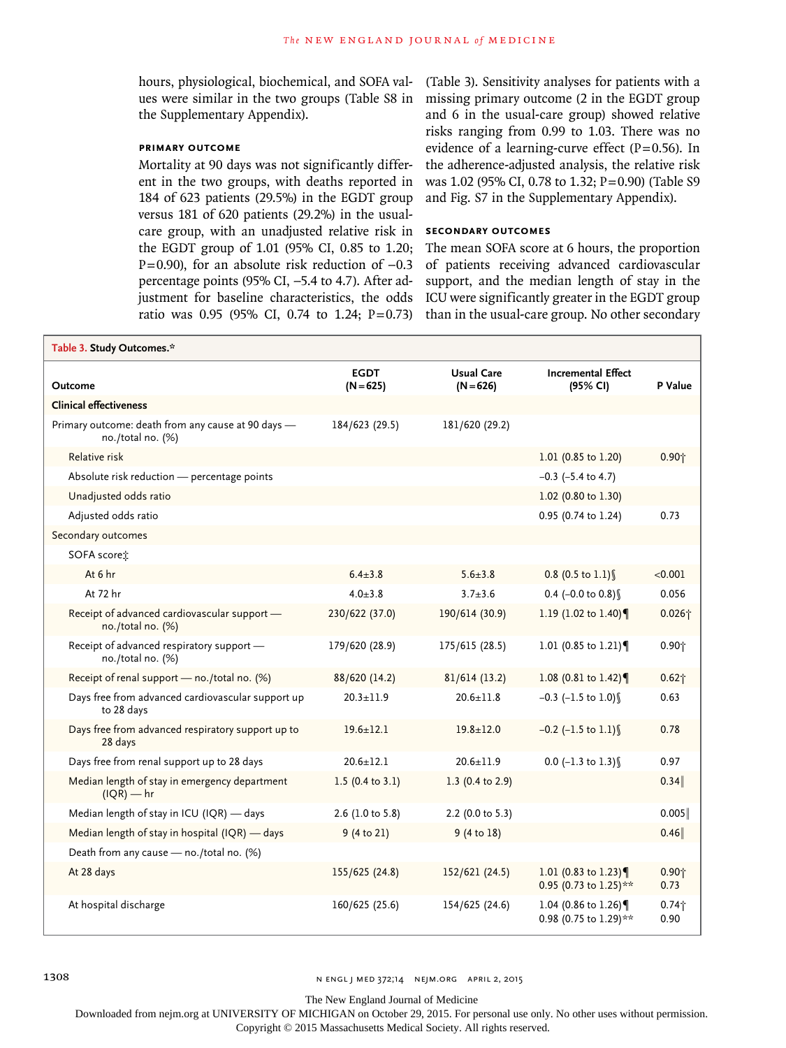hours, physiological, biochemical, and SOFA values were similar in the two groups (Table S8 in the Supplementary Appendix).

# **Primary Outcome**

Mortality at 90 days was not significantly different in the two groups, with deaths reported in 184 of 623 patients (29.5%) in the EGDT group versus 181 of 620 patients (29.2%) in the usualcare group, with an unadjusted relative risk in the EGDT group of 1.01 (95% CI, 0.85 to 1.20; P=0.90), for an absolute risk reduction of -0.3 percentage points (95% CI, −5.4 to 4.7). After adjustment for baseline characteristics, the odds ratio was 0.95 (95% CI, 0.74 to 1.24; P=0.73)

(Table 3). Sensitivity analyses for patients with a missing primary outcome (2 in the EGDT group and 6 in the usual-care group) showed relative risks ranging from 0.99 to 1.03. There was no evidence of a learning-curve effect  $(P=0.56)$ . In the adherence-adjusted analysis, the relative risk was 1.02 (95% CI, 0.78 to 1.32; P=0.90) (Table S9 and Fig. S7 in the Supplementary Appendix).

## **Secondary Outcomes**

The mean SOFA score at 6 hours, the proportion of patients receiving advanced cardiovascular support, and the median length of stay in the ICU were significantly greater in the EGDT group than in the usual-care group. No other secondary

| Table 3. Study Outcomes.*                                               |                             |                                  |                                              |                  |
|-------------------------------------------------------------------------|-----------------------------|----------------------------------|----------------------------------------------|------------------|
| Outcome                                                                 | <b>EGDT</b><br>$(N = 625)$  | <b>Usual Care</b><br>$(N = 626)$ | <b>Incremental Effect</b><br>(95% CI)        | P Value          |
| <b>Clinical effectiveness</b>                                           |                             |                                  |                                              |                  |
| Primary outcome: death from any cause at 90 days -<br>no./total no. (%) | 184/623 (29.5)              | 181/620 (29.2)                   |                                              |                  |
| Relative risk                                                           |                             |                                  | 1.01 (0.85 to 1.20)                          | $0.90 +$         |
| Absolute risk reduction - percentage points                             |                             |                                  | $-0.3$ ( $-5.4$ to 4.7)                      |                  |
| Unadjusted odds ratio                                                   |                             |                                  | 1.02 (0.80 to 1.30)                          |                  |
| Adjusted odds ratio                                                     |                             |                                  | 0.95 (0.74 to 1.24)                          | 0.73             |
| Secondary outcomes                                                      |                             |                                  |                                              |                  |
| SOFA scoret:                                                            |                             |                                  |                                              |                  |
| At 6 hr                                                                 | $6.4 + 3.8$                 | $5.6 + 3.8$                      | $0.8$ (0.5 to 1.1) \                         | < 0.001          |
| At 72 hr                                                                | $4.0 + 3.8$                 | $3.7 + 3.6$                      | 0.4 $(-0.0 \text{ to } 0.8)$                 | 0.056            |
| Receipt of advanced cardiovascular support -<br>no./total no. (%)       | 230/622 (37.0)              | 190/614 (30.9)                   | 1.19 (1.02 to 1.40)                          | $0.026 +$        |
| Receipt of advanced respiratory support -<br>no./total no. (%)          | 179/620 (28.9)              | 175/615 (28.5)                   | 1.01 (0.85 to 1.21)                          | $0.90 +$         |
| Receipt of renal support - no./total no. (%)                            | 88/620 (14.2)               | 81/614(13.2)                     | 1.08 (0.81 to 1.42)                          | $0.62 +$         |
| Days free from advanced cardiovascular support up<br>to 28 days         | $20.3 \pm 11.9$             | $20.6 \pm 11.8$                  | $-0.3$ (-1.5 to 1.0)                         | 0.63             |
| Days free from advanced respiratory support up to<br>28 days            | $19.6 \pm 12.1$             | $19.8 \pm 12.0$                  | $-0.2$ (-1.5 to 1.1)                         | 0.78             |
| Days free from renal support up to 28 days                              | $20.6 \pm 12.1$             | $20.6 \pm 11.9$                  | $0.0$ (-1.3 to 1.3)                          | 0.97             |
| Median length of stay in emergency department<br>$I(QR)$ — hr           | 1.5 $(0.4 \text{ to } 3.1)$ | 1.3 $(0.4 \text{ to } 2.9)$      |                                              | 0.34             |
| Median length of stay in ICU (IQR) - days                               | 2.6 (1.0 to 5.8)            | 2.2 (0.0 to 5.3)                 |                                              | 0.005            |
| Median length of stay in hospital (IQR) - days                          | 9 (4 to 21)                 | 9(4 to 18)                       |                                              | 0.46             |
| Death from any cause - no./total no. (%)                                |                             |                                  |                                              |                  |
| At 28 days                                                              | 155/625 (24.8)              | 152/621 (24.5)                   | 1.01 (0.83 to 1.23)<br>0.95 (0.73 to 1.25)** | $0.90 +$<br>0.73 |
| At hospital discharge                                                   | 160/625 (25.6)              | 154/625 (24.6)                   | 1.04 (0.86 to 1.26)<br>0.98 (0.75 to 1.29)** | $0.74 +$<br>0.90 |

1308 **n engl j med 372;14 nejm.org april 2, 2015** n engl j med 372;14 nejm.org april 2, 2015

The New England Journal of Medicine

Downloaded from nejm.org at UNIVERSITY OF MICHIGAN on October 29, 2015. For personal use only. No other uses without permission.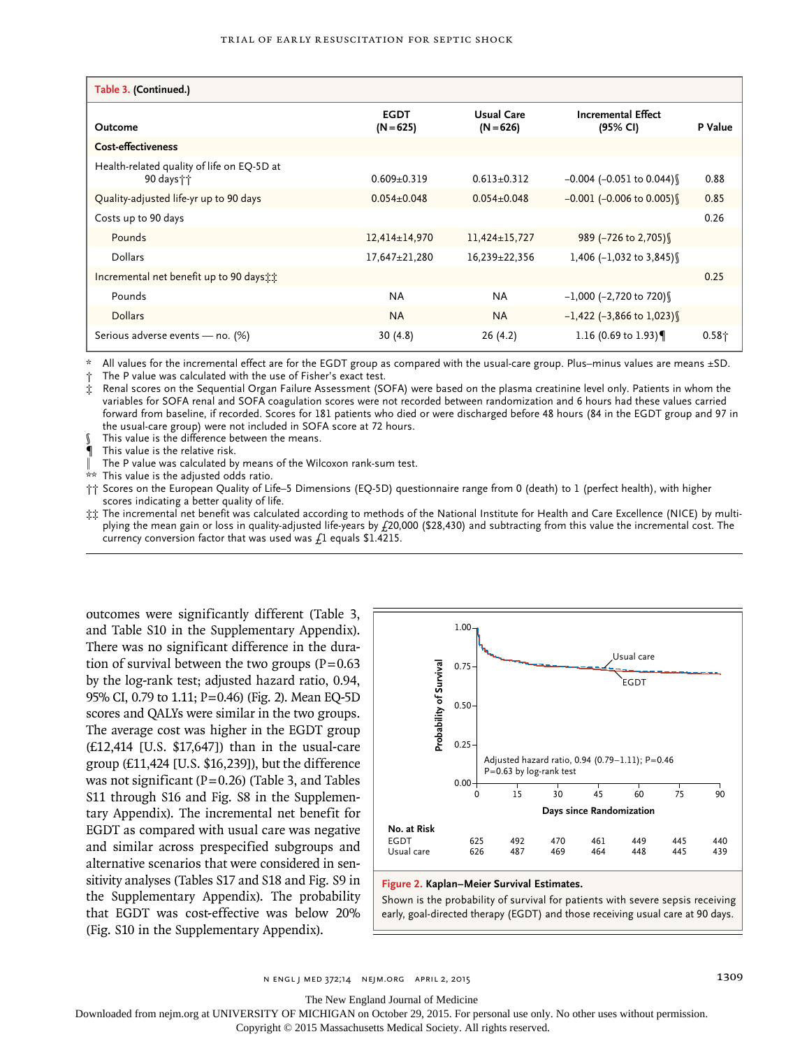| Table 3. (Continued.)                                     |                            |                                  |                                       |          |
|-----------------------------------------------------------|----------------------------|----------------------------------|---------------------------------------|----------|
| Outcome                                                   | <b>EGDT</b><br>$(N = 625)$ | <b>Usual Care</b><br>$(N = 626)$ | <b>Incremental Effect</b><br>(95% CI) | P Value  |
| <b>Cost-effectiveness</b>                                 |                            |                                  |                                       |          |
| Health-related quality of life on EQ-5D at<br>90 days † † | $0.609 + 0.319$            | $0.613+0.312$                    | $-0.004$ ( $-0.051$ to $0.044$ )      | 0.88     |
| Quality-adjusted life-yr up to 90 days                    | $0.054 \pm 0.048$          | $0.054 \pm 0.048$                | $-0.001$ (-0.006 to 0.005)            | 0.85     |
| Costs up to 90 days                                       |                            |                                  |                                       | 0.26     |
| Pounds                                                    | $12,414\pm 14,970$         | $11,424\pm 15,727$               | 989 (-726 to 2,705)                   |          |
| Dollars                                                   | 17,647±21,280              | 16,239±22,356                    | 1,406 $(-1,032)$ to 3,845)            |          |
| Incremental net benefit up to 90 days the                 |                            |                                  |                                       | 0.25     |
| Pounds                                                    | <b>NA</b>                  | <b>NA</b>                        | $-1,000$ (-2,720 to 720)              |          |
| <b>Dollars</b>                                            | <b>NA</b>                  | <b>NA</b>                        | $-1,422$ (-3,866 to 1,023)            |          |
| Serious adverse events - no. (%)                          | 30(4.8)                    | 26 (4.2)                         | 1.16 (0.69 to 1.93)                   | $0.58 +$ |

\* All values for the incremental effect are for the EGDT group as compared with the usual-care group. Plus–minus values are means ±SD.

The P value was calculated with the use of Fisher's exact test.

‡ Renal scores on the Sequential Organ Failure Assessment (SOFA) were based on the plasma creatinine level only. Patients in whom the variables for SOFA renal and SOFA coagulation scores were not recorded between randomization and 6 hours had these values carried forward from baseline, if recorded. Scores for 181 patients who died or were discharged before 48 hours (84 in the EGDT group and 97 in the usual-care group) were not included in SOFA score at 72 hours.

This value is the difference between the means.

This value is the relative risk.

The P value was calculated by means of the Wilcoxon rank-sum test.

This value is the adjusted odds ratio.

†† Scores on the European Quality of Life–5 Dimensions (EQ-5D) questionnaire range from 0 (death) to 1 (perfect health), with higher scores indicating a better quality of life.

‡‡ The incremental net benefit was calculated according to methods of the National Institute for Health and Care Excellence (NICE) by multiplying the mean gain or loss in quality-adjusted life-years by £20,000 (\$28,430) and subtracting from this value the incremental cost. The currency conversion factor that was used was  $f_1$  equals \$1.4215.

outcomes were significantly different (Table 3, and Table S10 in the Supplementary Appendix). There was no significant difference in the duration of survival between the two groups  $(P=0.63)$ by the log-rank test; adjusted hazard ratio, 0.94, 95% CI, 0.79 to 1.11; P=0.46) (Fig. 2). Mean EQ-5D scores and QALYs were similar in the two groups. The average cost was higher in the EGDT group (£12,414 [U.S. \$17,647]) than in the usual-care group (£11,424 [U.S. \$16,239]), but the difference was not significant ( $P=0.26$ ) (Table 3, and Tables S11 through S16 and Fig. S8 in the Supplementary Appendix). The incremental net benefit for EGDT as compared with usual care was negative and similar across prespecified subgroups and alternative scenarios that were considered in sensitivity analyses (Tables S17 and S18 and Fig. S9 in the Supplementary Appendix). The probability that EGDT was cost-effective was below 20% (Fig. S10 in the Supplementary Appendix).



#### **Figure 2. Kaplan–Meier Survival Estimates.**

Shown is the probability of survival for patients with severe sepsis receiving early, goal-directed therapy (EGDT) and those receiving usual care at 90 days.

n engl j med 372;14 nejm.org april 2, 2015 1309

The New England Journal of Medicine

Downloaded from nejm.org at UNIVERSITY OF MICHIGAN on October 29, 2015. For personal use only. No other uses without permission.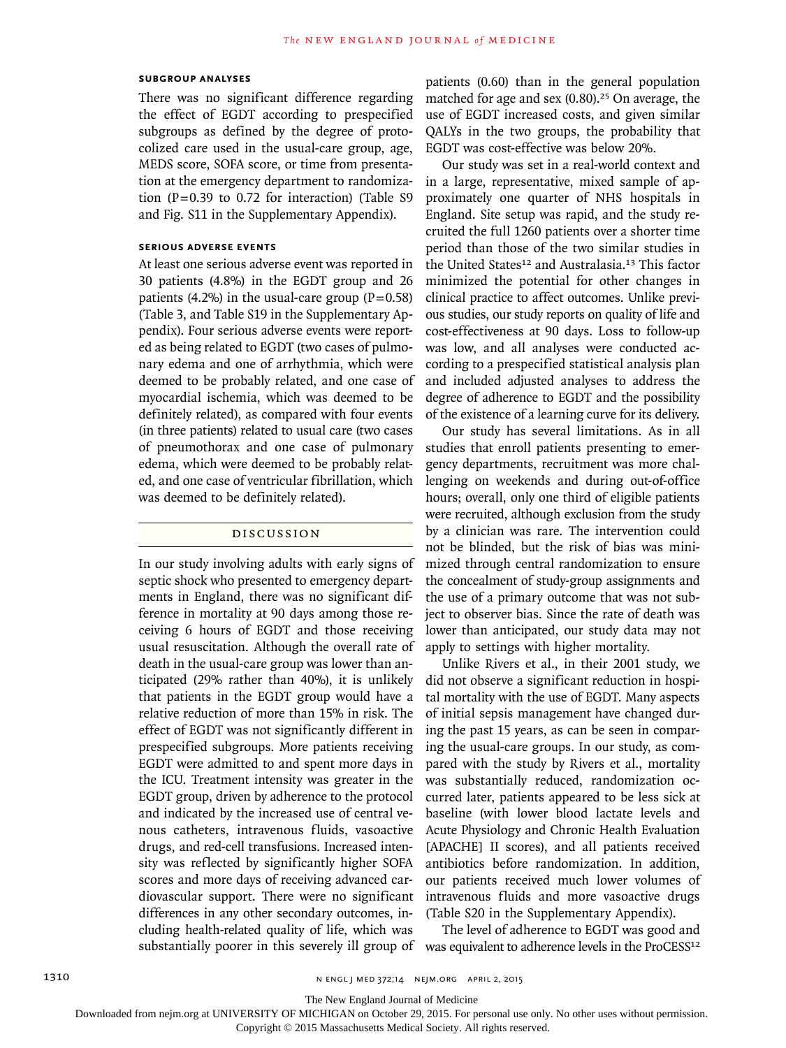#### **Subgroup Analyses**

There was no significant difference regarding the effect of EGDT according to prespecified subgroups as defined by the degree of protocolized care used in the usual-care group, age, MEDS score, SOFA score, or time from presentation at the emergency department to randomization  $(P=0.39$  to 0.72 for interaction) (Table S9 and Fig. S11 in the Supplementary Appendix).

# **Serious Adverse Events**

At least one serious adverse event was reported in 30 patients (4.8%) in the EGDT group and 26 patients (4.2%) in the usual-care group ( $P=0.58$ ) (Table 3, and Table S19 in the Supplementary Appendix). Four serious adverse events were reported as being related to EGDT (two cases of pulmonary edema and one of arrhythmia, which were deemed to be probably related, and one case of myocardial ischemia, which was deemed to be definitely related), as compared with four events (in three patients) related to usual care (two cases of pneumothorax and one case of pulmonary edema, which were deemed to be probably related, and one case of ventricular fibrillation, which was deemed to be definitely related).

#### Discussion

In our study involving adults with early signs of septic shock who presented to emergency departments in England, there was no significant difference in mortality at 90 days among those receiving 6 hours of EGDT and those receiving usual resuscitation. Although the overall rate of death in the usual-care group was lower than anticipated (29% rather than 40%), it is unlikely that patients in the EGDT group would have a relative reduction of more than 15% in risk. The effect of EGDT was not significantly different in prespecified subgroups. More patients receiving EGDT were admitted to and spent more days in the ICU. Treatment intensity was greater in the EGDT group, driven by adherence to the protocol and indicated by the increased use of central venous catheters, intravenous fluids, vasoactive drugs, and red-cell transfusions. Increased intensity was reflected by significantly higher SOFA scores and more days of receiving advanced cardiovascular support. There were no significant differences in any other secondary outcomes, including health-related quality of life, which was

patients (0.60) than in the general population matched for age and sex  $(0.80)$ .<sup>25</sup> On average, the use of EGDT increased costs, and given similar QALYs in the two groups, the probability that EGDT was cost-effective was below 20%.

Our study was set in a real-world context and in a large, representative, mixed sample of approximately one quarter of NHS hospitals in England. Site setup was rapid, and the study recruited the full 1260 patients over a shorter time period than those of the two similar studies in the United States<sup>12</sup> and Australasia.<sup>13</sup> This factor minimized the potential for other changes in clinical practice to affect outcomes. Unlike previous studies, our study reports on quality of life and cost-effectiveness at 90 days. Loss to follow-up was low, and all analyses were conducted according to a prespecified statistical analysis plan and included adjusted analyses to address the degree of adherence to EGDT and the possibility of the existence of a learning curve for its delivery.

Our study has several limitations. As in all studies that enroll patients presenting to emergency departments, recruitment was more challenging on weekends and during out-of-office hours; overall, only one third of eligible patients were recruited, although exclusion from the study by a clinician was rare. The intervention could not be blinded, but the risk of bias was minimized through central randomization to ensure the concealment of study-group assignments and the use of a primary outcome that was not subject to observer bias. Since the rate of death was lower than anticipated, our study data may not apply to settings with higher mortality.

Unlike Rivers et al., in their 2001 study, we did not observe a significant reduction in hospital mortality with the use of EGDT. Many aspects of initial sepsis management have changed during the past 15 years, as can be seen in comparing the usual-care groups. In our study, as compared with the study by Rivers et al., mortality was substantially reduced, randomization occurred later, patients appeared to be less sick at baseline (with lower blood lactate levels and Acute Physiology and Chronic Health Evaluation [APACHE] II scores), and all patients received antibiotics before randomization. In addition, our patients received much lower volumes of intravenous fluids and more vasoactive drugs (Table S20 in the Supplementary Appendix).

substantially poorer in this severely ill group of was equivalent to adherence levels in the ProCESS<sup>12</sup> The level of adherence to EGDT was good and

The New England Journal of Medicine

Downloaded from nejm.org at UNIVERSITY OF MICHIGAN on October 29, 2015. For personal use only. No other uses without permission.